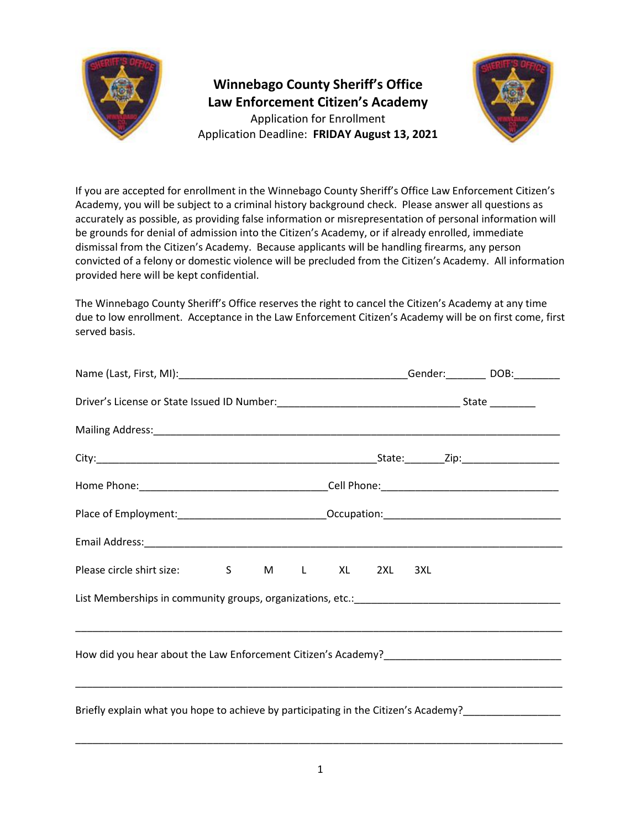

**Winnebago County Sheriff's Office Law Enforcement Citizen's Academy** Application for Enrollment Application Deadline: **FRIDAY August 13, 2021**



If you are accepted for enrollment in the Winnebago County Sheriff's Office Law Enforcement Citizen's Academy, you will be subject to a criminal history background check. Please answer all questions as accurately as possible, as providing false information or misrepresentation of personal information will be grounds for denial of admission into the Citizen's Academy, or if already enrolled, immediate dismissal from the Citizen's Academy. Because applicants will be handling firearms, any person convicted of a felony or domestic violence will be precluded from the Citizen's Academy. All information provided here will be kept confidential.

The Winnebago County Sheriff's Office reserves the right to cancel the Citizen's Academy at any time due to low enrollment. Acceptance in the Law Enforcement Citizen's Academy will be on first come, first served basis.

| Please circle shirt size: S M L XL 2XL 3XL                                                          |  |
|-----------------------------------------------------------------------------------------------------|--|
|                                                                                                     |  |
|                                                                                                     |  |
|                                                                                                     |  |
|                                                                                                     |  |
| Briefly explain what you hope to achieve by participating in the Citizen's Academy?________________ |  |
|                                                                                                     |  |